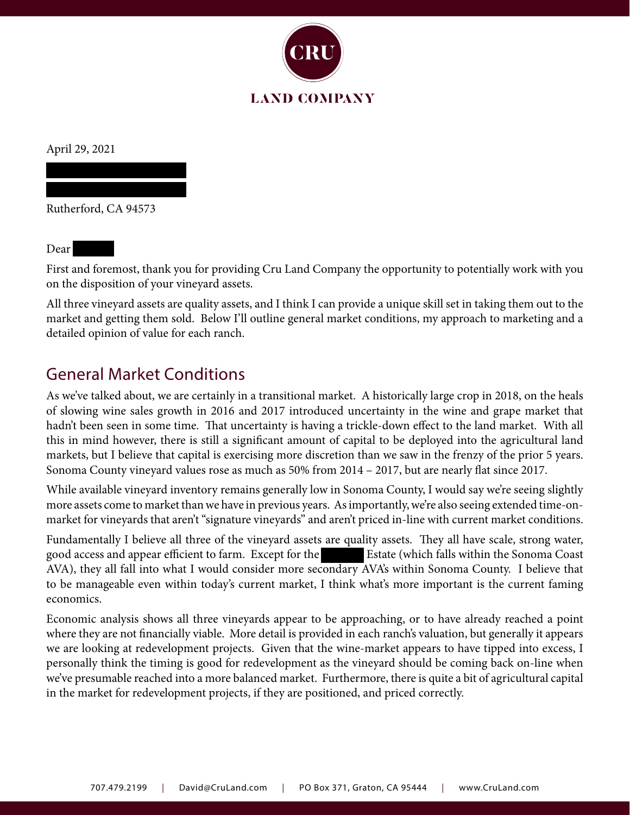

April 29, 2021

Rutherford, CA 94573

Dear

First and foremost, thank you for providing Cru Land Company the opportunity to potentially work with you on the disposition of your vineyard assets.

All three vineyard assets are quality assets, and I think I can provide a unique skill set in taking them out to the market and getting them sold. Below I'll outline general market conditions, my approach to marketing and a detailed opinion of value for each ranch.

## General Market Conditions

As we've talked about, we are certainly in a transitional market. A historically large crop in 2018, on the heals of slowing wine sales growth in 2016 and 2017 introduced uncertainty in the wine and grape market that hadn't been seen in some time. That uncertainty is having a trickle-down effect to the land market. With all this in mind however, there is still a significant amount of capital to be deployed into the agricultural land markets, but I believe that capital is exercising more discretion than we saw in the frenzy of the prior 5 years. Sonoma County vineyard values rose as much as 50% from 2014 – 2017, but are nearly flat since 2017.

While available vineyard inventory remains generally low in Sonoma County, I would say we're seeing slightly more assets come to market than we have in previous years. As importantly, we're also seeing extended time-onmarket for vineyards that aren't "signature vineyards" and aren't priced in-line with current market conditions.

Fundamentally I believe all three of the vineyard assets are quality assets. They all have scale, strong water, good access and appear efficient to farm. Except for the Estate (which falls within the Sonoma Coast AVA), they all fall into what I would consider more secondary AVA's within Sonoma County. I believe that to be manageable even within today's current market, I think what's more important is the current faming economics.

Economic analysis shows all three vineyards appear to be approaching, or to have already reached a point where they are not financially viable. More detail is provided in each ranch's valuation, but generally it appears we are looking at redevelopment projects. Given that the wine-market appears to have tipped into excess, I personally think the timing is good for redevelopment as the vineyard should be coming back on-line when we've presumable reached into a more balanced market. Furthermore, there is quite a bit of agricultural capital in the market for redevelopment projects, if they are positioned, and priced correctly.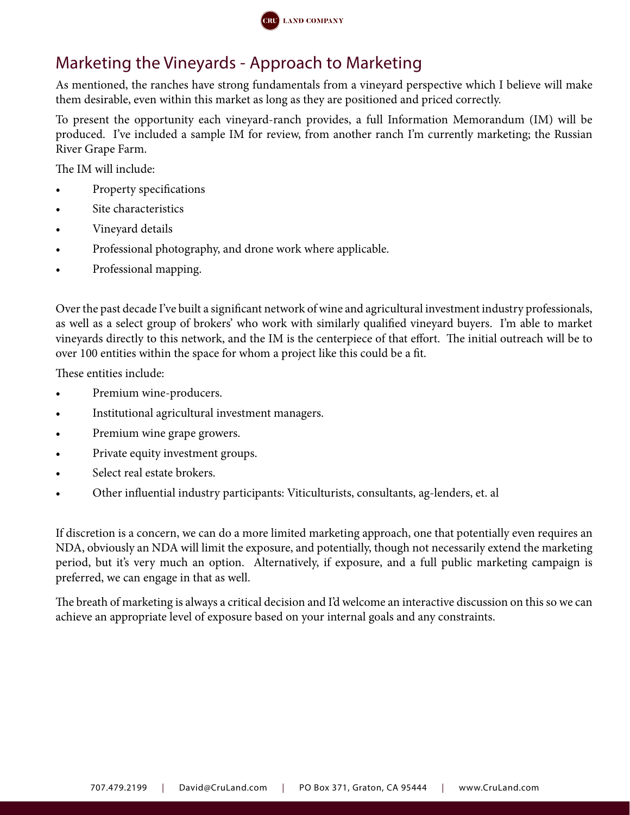

## Marketing the Vineyards - Approach to Marketing

As mentioned, the ranches have strong fundamentals from a vineyard perspective which I believe will make them desirable, even within this market as long as they are positioned and priced correctly.

To present the opportunity each vineyard-ranch provides, a full Information Memorandum (IM) will be produced. I've included a sample IM for review, from another ranch I'm currently marketing; the Russian River Grape Farm.

The IM will include:

- Property specifications
- Site characteristics
- Vineyard details
- Professional photography, and drone work where applicable.
- Professional mapping.

Over the past decade I've built a significant network of wine and agricultural investment industry professionals, as well as a select group of brokers' who work with similarly qualified vineyard buyers. I'm able to market vineyards directly to this network, and the IM is the centerpiece of that effort. The initial outreach will be to over 100 entities within the space for whom a project like this could be a fit.

These entities include:

- Premium wine-producers.
- Institutional agricultural investment managers.
- Premium wine grape growers.
- Private equity investment groups.
- Select real estate brokers.
- Other influential industry participants: Viticulturists, consultants, ag-lenders, et. al

If discretion is a concern, we can do a more limited marketing approach, one that potentially even requires an NDA, obviously an NDA will limit the exposure, and potentially, though not necessarily extend the marketing period, but it's very much an option. Alternatively, if exposure, and a full public marketing campaign is preferred, we can engage in that as well.

The breath of marketing is always a critical decision and I'd welcome an interactive discussion on this so we can achieve an appropriate level of exposure based on your internal goals and any constraints.